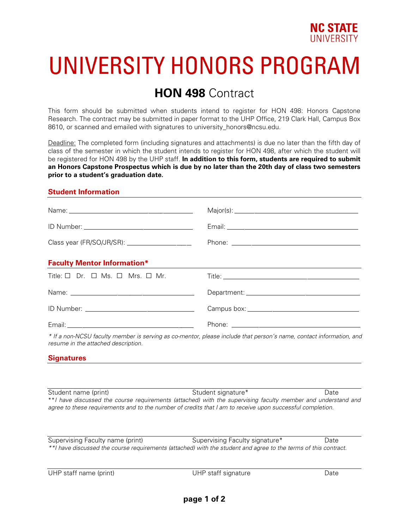

# UNIVERSITY HONORS PROGRAM

## **HON 498** Contract

This form should be submitted when students intend to register for HON 498: Honors Capstone Research. The contract may be submitted in paper format to the UHP Office, 219 Clark Hall, Campus Box 8610, or scanned and emailed with signatures to university honors@ncsu.edu.

Deadline: The completed form (including signatures and attachments) is due no later than the fifth day of class of the semester in which the student intends to register for HON 498, after which the student will be registered for HON 498 by the UHP staff. **In addition to this form, students are required to submit an Honors Capstone Prospectus which is due by no later than the 20th day of class two semesters prior to a student's graduation date.** 

#### **Student Information**

| <b>Faculty Mentor Information*</b>                              |  |
|-----------------------------------------------------------------|--|
| Title: $\square$ Dr. $\square$ Ms. $\square$ Mrs. $\square$ Mr. |  |
|                                                                 |  |
|                                                                 |  |
|                                                                 |  |

*\* If a non-NCSU faculty member is serving as co-mentor, please include that person's name, contact information, and resume in the attached description.* 

#### **Signatures**

Student name (print) Student signature\* Date \*\**I have discussed the course requirements (attached) with the supervising faculty member and understand and agree to these requirements and to the number of credits that I am to receive upon successful completion.*

Supervising Faculty name (print) Supervising Faculty signature\* Date *\*\*I have discussed the course requirements (attached) with the student and agree to the terms of this contract.*